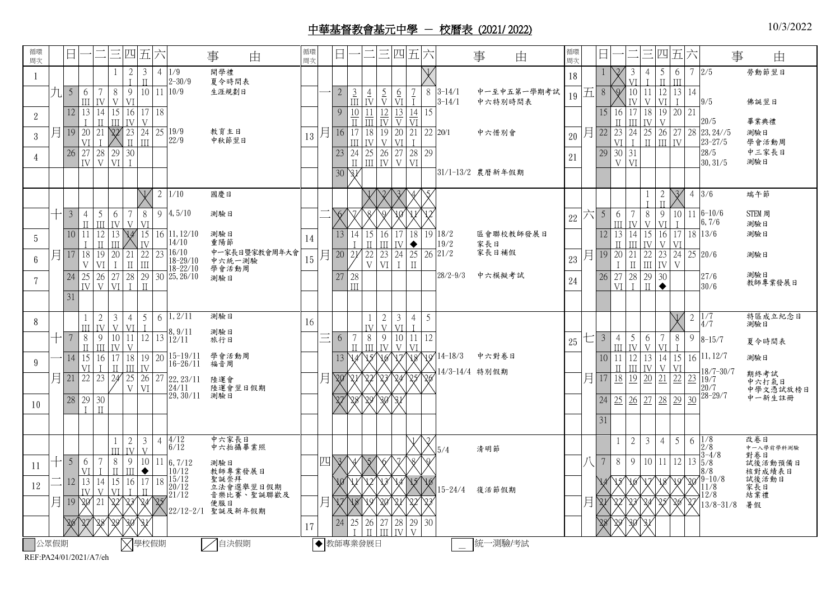## 中華基督教會基元中學 - 校曆表 (2021/ 2022)

循環 周次 日 一 二 三 四 五 六 事 由 循環 ☞■ 日 二 三 四 五 六 事 由 循環 ☞■ 日 一 二 三 四 五 六 事 由 1 <sup>2</sup>  $\mathbf{r}$ 3  $\frac{II}{10}$ 4 1/9 2-30/9 開學禮 夏令時間表 1 18 <sup>3</sup>  $\frac{VI}{10}$ 4 I 5 II 6 III 7 2/5 勞動節翌日  $5 \mid 6$ III 7 IV 8 V 9 VI 11  $10/9$  生涯規劃日 – 2 3 III 4 IV 5 V 6 VI 7 I 8 3-14/1 3-14/1 中一至中五第一學期考試  $19\left|\overline{21}\right|$  8  $\left[\sqrt[4]{\frac{10}{\text{N}}} \right]$ IV 11 V 12 VI 13 I 14 9/5 20/5 7/5 28 23,24//5 10-14/5 23-27/5 10/5 28/5 佛誕翌日 畢業典禮 <sup>2</sup> 12 13 I 14 II 15  $\frac{III}{22}$ 16 IV 17 V 18 9 10  $\frac{11}{17}$ 11  $\overline{III}$ 12 IV 13 V 14 VI 15 16  $\frac{II}{23}$ 17 III 18 IV 19 V 20 21  $3$  月 19 20 VI 21 I 22 23 II 24 III 25 19/9 22/9 教育主日<br>中秋節翌日 教育主日 | 13 月 16 17<br>中秋節翌日 | 13 月 16 11 III 18 IV 19 V 20 VI 21 I  $22\overline{\smash{\big)}\ 20\!\!\uparrow}$  20/1 中六惜別會  $20\overline{\smash{\big)}\ 20\,\overline{\smash{\big)}\ 2\!\!\uparrow}}$  22  $\overline{\smash{23}}$ VI 24  $\mathbf{I}$ 25 II 26 III 27 IV 測驗日 學會活動周 4 26 27 IV 28  $V$ 29 30  $VI$  $\mathbf{r}$ 23 24  $\frac{11}{3}$ 25 26 27 III IV V 28 VI  $\boxed{29}$  21 29 30 V 31 VI 30,31/5 中三家長日 測驗日 30 81 | | | | | 31/1-13/2 農曆新年假期  $\sqrt{2}$  2 1/10  $4, 5/10$ 國慶日 1 2 3 4 5 1 I  $\overline{\mathcal{L}}$ II 3 4 3/6 端午節  $3 \mid 4$ II 5 III 6 IV 7 V 8 VI 9 4,5/10 測驗日 二 6 7 8 9 10 11 12 18/2 19/2 21/2 19 18/2 區會聯校教師發展日 | | 12 | 13 家長日 家長日補假  $_{22}$  六 5  $\frac{6}{2}$ III 戈  $\mathop{\mathrm{II}}$ 戈 7 IV 8 V 9 VI 10 I 11 6-10/6 6,7/6 STEM 周 測驗日 5 10 11 I 12 II 13 III  $\frac{14}{ 15}$ IV 16 11,12/10 14/10 16/10 18-29/10 18-22/10 30 25, 26/10 測驗日 | 27 28 測驗日 重陽節  $\frac{16}{18}$  16/10 中一家長日暨家教會周年大會  $\frac{15}{15}$   $\frac{1}{7}$   $\frac{20}{22}$   $\frac{21}{22}$   $\frac{22}{15}$ 中六統一測驗 學會活動周 測驗日 14 13 14 I 15  $\frac{II}{22}$ 16 III 17 IV 18 ◆ 14 III 15 IV 16 V 17 VI 18 13/6 測驗日  $6$  月 17 18 V 19 VI 20 I 21 II 22 III V 23 VI 24 I 25 II 26  $_{23}$ 月19 I 21 II 22 III 23 IV 24 V 25 20/6 測驗日 7 24 25 IV 26 V 27 28 VI I 29 II III 28/2-9/3 中六模擬考試 <sup>24</sup> 26 27 VI 28 I 29 II 30 ◆ 27/6 30/6 測驗日 教師專業發展日 31 8 1 III 2 IV 3 V 4 VI 5  $\frac{1}{12}$  $6\; |1,2/11$ 8,9/11 12/11 15-19/11 16-26/11 22,23/11  $\frac{24}{11}$ 29,30/11 測驗日 測驗日 測驗日 旅行日 學會活動周 福音周 陸運會 陸運會翌日假期 16 1 IV 2 V 3 VI 4 I 5 14-18/3 中六對卷日 14/3-14/4 特別假期  $\sqrt{2}$  2 1/7 4/7 8-15/7 16 11, 12/7 18/7-30/7  $23^{10/7}$ 20/7 28-29/7 特區成立紀念日 測驗日 夏令時間表 測驗日 期終考試 中六打氣日 中學文憑試放榜日 中一新生註冊 十 7 8 II 9 III 10 11 IV V 12 | 13 |  $^{0.9/11}_{12/11}$  旅行日 |  $\equiv$  6 | 7 II 8 III IV<br>V<sub>X</sub> VØ 9 IV 10 V 11 VI<br>V8 V9 12  $25 \pm 3 \frac{4}{11}$ III 5 IV 6 V 7 VI 8 I 9  $9$  – 14 15  $\frac{VI}{22}$ 16 I 17  $\frac{11}{24}$ 18 III 19 IV 20 13 14 15 16 17 18 19 10 11  $\frac{II}{18}$ 12 III 13  $\frac{IV}{20}$ 14  $\frac{V}{21}$ 15  $\frac{VI}{22}$  $\Box$  21 22 23 24 25 V 26 VI 27 月 20 21 22 23 24 25 26 月 17 18 19 20 21 22 23 10 28 29 I 30 II 27 28 29 30 31 24 25 26 27 28 29 30 31 1 III 2 IV 3 V  $4 \frac{4}{12}$  $6/12$ 6,7/12  $10/12$ 15/12 20/12 21/12 22/12-2/1 聖誕及新年假期 中六家長日 中六拍攝畢業照 測驗日 教師專業發展日 聖誕崇拜 立法會選舉翌日假期 音樂比賽、聖誕聯歡及 便服日  $\sqrt{2}$ 5/4 清明節  $1 \mid 2 \mid 3 \mid 4 \mid 5 \mid 6 \mid 1/8$ 2/8  $3 - 4/8$ 5/8 8/8  $19 - 10/8$ 11/8  $12/8$  $\sqrt{27}$ 13/8-31/8 改卷日 中一入學前學科測驗 對卷日 試後活動預備日 核對成績表日 試後活動日 家長日 結業禮 暑假  $_{11}$   $+$  5  $_{\frac{6}{5}}$ VI 7 I 8 II 9 III 10 ◆ 11 四 3 4 5 6 7 8 9 八 7 8 9 10 11 12 13  $12 \overline{|}12 \overline{|}13$ IV 14  $V$ 15 VI 16 I 17  $\frac{11}{2}$ 18 10 11 12 13 14 15 16 15-24/4 復活節假期 14 15 16 17 18 19 20 月 19 20 21 22 23 24 25 月 17 18 19 20 21 22 23 月 21 22 23 24 25 26 27  $24 \times 24 \times 24 = 17$  24 25 <sup>1</sup> 26  $\overline{11}$ 27 <sub>III</sub> 28 IV 29  $\mathbf{v}$ 30  $30$ 公眾假期  $\bigtimes$ 學校假期  $\bigtimes$ 自決假期  $\bigcirc$ 教師專業發展日  $\bigcirc$  統一測驗/考試

REF:PA24/01/2021/A7/eh

10/3/2022